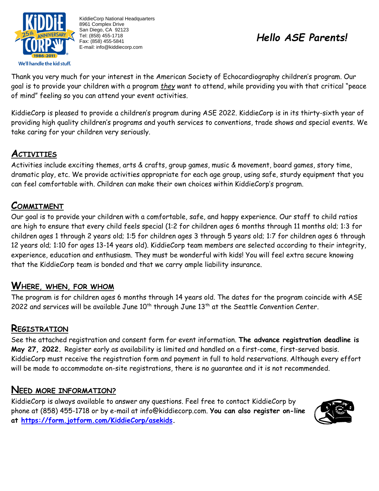

KiddieCorp National Headquarters 8961 Complex Drive San Diego, CA 92123 Tel: (858) 455-1718 Fax: (858) 455-5841 E-mail: info@kiddiecorp.com

# *Hello ASE Parents!*

Thank you very much for your interest in the American Society of Echocardiography children's program. Our goal is to provide your children with a program *they* want to attend, while providing you with that critical "peace of mind" feeling so you can attend your event activities.

KiddieCorp is pleased to provide a children's program during ASE 2022. KiddieCorp is in its thirty-sixth year of providing high quality children's programs and youth services to conventions, trade shows and special events. We take caring for your children very seriously.

# **ACTIVITIES**

Activities include exciting themes, arts & crafts, group games, music & movement, board games, story time, dramatic play, etc. We provide activities appropriate for each age group, using safe, sturdy equipment that you can feel comfortable with. Children can make their own choices within KiddieCorp's program.

## **COMMITMENT**

Our goal is to provide your children with a comfortable, safe, and happy experience. Our staff to child ratios are high to ensure that every child feels special (1:2 for children ages 6 months through 11 months old; 1:3 for children ages 1 through 2 years old; 1:5 for children ages 3 through 5 years old; 1:7 for children ages 6 through 12 years old; 1:10 for ages 13-14 years old). KiddieCorp team members are selected according to their integrity, experience, education and enthusiasm. They must be wonderful with kids! You will feel extra secure knowing that the KiddieCorp team is bonded and that we carry ample liability insurance.

### **WHERE, WHEN, FOR WHOM**

The program is for children ages 6 months through 14 years old. The dates for the program coincide with ASE 2022 and services will be available June  $10^{th}$  through June  $13^{th}$  at the Seattle Convention Center.

#### **REGISTRATION**

See the attached registration and consent form for event information. **The advance registration deadline is May 27, 2022.** Register early as availability is limited and handled on a first-come, first-served basis. KiddieCorp must receive the registration form and payment in full to hold reservations. Although every effort will be made to accommodate on-site registrations, there is no guarantee and it is not recommended.

### **NEED MORE INFORMATION?**

KiddieCorp is always available to answer any questions. Feel free to contact KiddieCorp by phone at (858) 455-1718 or by e-mail at [info@kiddiecorp.com.](mailto:info@kiddiecorp.com) **You can also register on-line at [https://form.jotform.com/KiddieCorp/asekids.](https://form.jotform.com/KiddieCorp/asekids)**

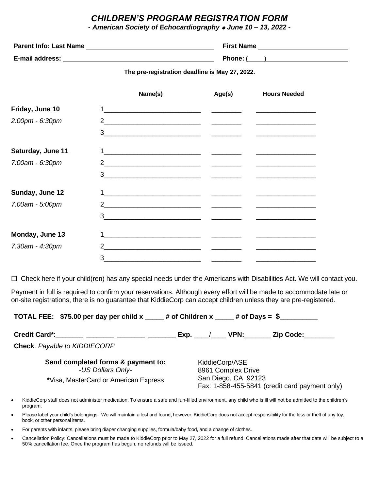#### *CHILDREN'S PROGRAM REGISTRATION FORM*

*- American Society of Echocardiography* ⚫ *June 10 – 13, 2022 -*

| <b>Parent Info: Last Name</b> | <b>First Name</b> |
|-------------------------------|-------------------|
| E-mail address:               | Phone: (          |

**The pre-registration deadline is May 27, 2022.**

|                   | Name(s)                                                                                                                                                                                                                                                                                                                                                                                                                                                                         | Age(s) | <b>Hours Needed</b> |
|-------------------|---------------------------------------------------------------------------------------------------------------------------------------------------------------------------------------------------------------------------------------------------------------------------------------------------------------------------------------------------------------------------------------------------------------------------------------------------------------------------------|--------|---------------------|
| Friday, June 10   |                                                                                                                                                                                                                                                                                                                                                                                                                                                                                 |        |                     |
| 2:00pm - 6:30pm   |                                                                                                                                                                                                                                                                                                                                                                                                                                                                                 |        |                     |
|                   |                                                                                                                                                                                                                                                                                                                                                                                                                                                                                 |        |                     |
| Saturday, June 11 |                                                                                                                                                                                                                                                                                                                                                                                                                                                                                 |        |                     |
| 7:00am - 6:30pm   |                                                                                                                                                                                                                                                                                                                                                                                                                                                                                 |        |                     |
|                   | $3 \qquad \qquad \qquad \qquad$                                                                                                                                                                                                                                                                                                                                                                                                                                                 |        |                     |
| Sunday, June 12   |                                                                                                                                                                                                                                                                                                                                                                                                                                                                                 |        |                     |
| 7:00am - 5:00pm   |                                                                                                                                                                                                                                                                                                                                                                                                                                                                                 |        |                     |
|                   | $3 \overline{\phantom{a}}$ $\overline{\phantom{a}}$ $\overline{\phantom{a}}$ $\overline{\phantom{a}}$ $\overline{\phantom{a}}$ $\overline{\phantom{a}}$ $\overline{\phantom{a}}$ $\overline{\phantom{a}}$ $\overline{\phantom{a}}$ $\overline{\phantom{a}}$ $\overline{\phantom{a}}$ $\overline{\phantom{a}}$ $\overline{\phantom{a}}$ $\overline{\phantom{a}}$ $\overline{\phantom{a}}$ $\overline{\phantom{a}}$ $\overline{\phantom{a}}$ $\overline{\phantom{a}}$ $\overline$ |        |                     |
| Monday, June 13   |                                                                                                                                                                                                                                                                                                                                                                                                                                                                                 |        |                     |
| 7:30am - 4:30pm   | 2 and $\sim$ 2 and $\sim$ 2 and $\sim$ 2 and $\sim$ 2 and $\sim$ 2 and $\sim$ 2 and $\sim$ 2 and $\sim$ 2 and $\sim$                                                                                                                                                                                                                                                                                                                                                            |        |                     |
|                   | 3                                                                                                                                                                                                                                                                                                                                                                                                                                                                               |        |                     |

Check here if your child(ren) has any special needs under the Americans with Disabilities Act. We will contact you.

Payment in full is required to confirm your reservations. Although every effort will be made to accommodate late or on-site registrations, there is no guarantee that KiddieCorp can accept children unless they are pre-registered.

| TOTAL FEE: \$75.00 per day per child x $\mu$ of Children x $\mu$ of Days = \$ |                                                                       |
|-------------------------------------------------------------------------------|-----------------------------------------------------------------------|
| Credit Card*: _______ _______ _______                                         | VPN:<br>Zip Code:<br>Exp.                                             |
| <b>Check: Payable to KIDDIECORP</b>                                           |                                                                       |
| Send completed forms & payment to:<br>-US Dollars Only-                       | KiddieCorp/ASE<br>8961 Complex Drive                                  |
| *Visa, MasterCard or American Express                                         | San Diego, CA 92123<br>Fax: 1-858-455-5841 (credit card payment only) |
|                                                                               |                                                                       |

- KiddieCorp staff does not administer medication. To ensure a safe and fun-filled environment, any child who is ill will not be admitted to the children's program.
- Please label your child's belongings. We will maintain a lost and found, however, KiddieCorp does not accept responsibility for the loss or theft of any toy, book, or other personal items.
- For parents with infants, please bring diaper changing supplies, formula/baby food, and a change of clothes.
- Cancellation Policy: Cancellations must be made to KiddieCorp prior to May 27, 2022 for a full refund. Cancellations made after that date will be subject to a 50% cancellation fee. Once the program has begun, no refunds will be issued.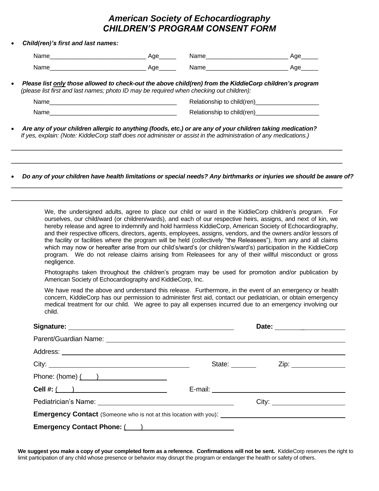#### *American Society of Echocardiography CHILDREN'S PROGRAM CONSENT FORM*

#### • *Child(ren)'s first and last names:*

| N۶<br>.<br> | ``<br>____ | _________ |  |
|-------------|------------|-----------|--|
| Name        |            |           |  |

• *Please list only those allowed to check-out the above child(ren) from the KiddieCorp children's program (please list first and last names; photo ID may be required when checking out children):*

| Name | Relationship to child(ren) |
|------|----------------------------|
| Name | Relationship to child(ren) |

\_\_\_\_\_\_\_\_\_\_\_\_\_\_\_\_\_\_\_\_\_\_\_\_\_\_\_\_\_\_\_\_\_\_\_\_\_\_\_\_\_\_\_\_\_\_\_\_\_\_\_\_\_\_\_\_\_\_\_\_\_\_\_\_\_\_\_\_\_\_\_\_\_\_\_\_\_\_\_\_\_\_

\_\_\_\_\_\_\_\_\_\_\_\_\_\_\_\_\_\_\_\_\_\_\_\_\_\_\_\_\_\_\_\_\_\_\_\_\_\_\_\_\_\_\_\_\_\_\_\_\_\_\_\_\_\_\_\_\_\_\_\_\_\_\_\_\_\_\_\_\_\_\_\_\_\_\_\_\_\_\_\_\_\_

\_\_\_\_\_\_\_\_\_\_\_\_\_\_\_\_\_\_\_\_\_\_\_\_\_\_\_\_\_\_\_\_\_\_\_\_\_\_\_\_\_\_\_\_\_\_\_\_\_\_\_\_\_\_\_\_\_\_\_\_\_\_\_\_\_\_\_\_\_\_\_\_\_\_\_\_\_\_\_\_\_\_

\_\_\_\_\_\_\_\_\_\_\_\_\_\_\_\_\_\_\_\_\_\_\_\_\_\_\_\_\_\_\_\_\_\_\_\_\_\_\_\_\_\_\_\_\_\_\_\_\_\_\_\_\_\_\_\_\_\_\_\_\_\_\_\_\_\_\_\_\_\_\_\_\_\_\_\_\_\_\_\_\_\_

• *Are any of your children allergic to anything (foods, etc.) or are any of your children taking medication? If yes, explain: (Note: KiddieCorp staff does not administer or assist in the administration of any medications.)*

• *Do any of your children have health limitations or special needs? Any birthmarks or injuries we should be aware of?*

We, the undersigned adults, agree to place our child or ward in the KiddieCorp children's program. For ourselves, our child/ward (or children/wards), and each of our respective heirs, assigns, and next of kin, we hereby release and agree to indemnify and hold harmless KiddieCorp, American Society of Echocardiography, and their respective officers, directors, agents, employees, assigns, vendors, and the owners and/or lessors of the facility or facilities where the program will be held (collectively "the Releasees"), from any and all claims which may now or hereafter arise from our child's/ward's (or children's/ward's) participation in the KiddieCorp program. We do not release claims arising from Releasees for any of their willful misconduct or gross negligence.

Photographs taken throughout the children's program may be used for promotion and/or publication by American Society of Echocardiography and KiddieCorp, Inc.

We have read the above and understand this release. Furthermore, in the event of an emergency or health concern, KiddieCorp has our permission to administer first aid, contact our pediatrician, or obtain emergency medical treatment for our child. We agree to pay all expenses incurred due to an emergency involving our child.

|                                                                                                                                                                                                                                | State: <u>_________</u><br>Zip: _______________ |
|--------------------------------------------------------------------------------------------------------------------------------------------------------------------------------------------------------------------------------|-------------------------------------------------|
| Phone: $(home)$ $($ $)$                                                                                                                                                                                                        |                                                 |
| Cell #: ( )                                                                                                                                                                                                                    |                                                 |
|                                                                                                                                                                                                                                |                                                 |
|                                                                                                                                                                                                                                |                                                 |
| Emergency Contact Phone: (All Allen Contract Phone: (All Allen Contract Phone: (All All Allen Contract Contract Contract Contract Contract Contract Contract Contract Contract Contract Contract Contract Contract Contract Co |                                                 |

**We suggest you make a copy of your completed form as a reference. Confirmations will not be sent.** KiddieCorp reserves the right to limit participation of any child whose presence or behavior may disrupt the program or endanger the health or safety of others.